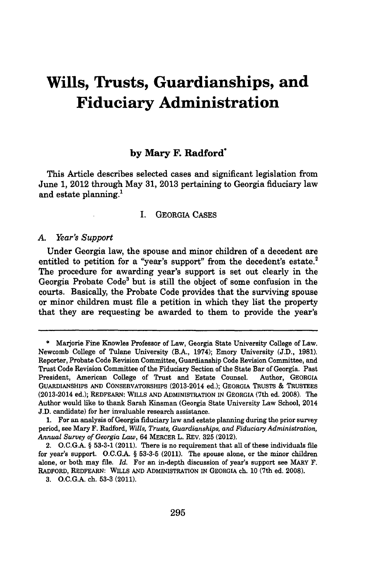# **Wills, Trusts, Guardianships, and Fiduciary Administration**

# **by Mary F. Radford\***

This Article describes selected cases and significant legislation from June **1,** 2012 through May **31, 2013** pertaining to Georgia fiduciary law and estate planning.<sup>1</sup>

## I. GEORGIA **CASES**

#### *A. Year's Support*

Under Georgia law, the spouse and minor children of a decedent are entitled to petition for a "year's support" from the decedent's estate.<sup>2</sup> The procedure for awarding year's support is set out clearly in the Georgia Probate Code3 but is still the object of some confusion in the courts. Basically, the Probate Code provides that the surviving spouse or minor children must file a petition in which they list the property that they are requesting be awarded to them to provide the year's

**<sup>\*</sup>** Marjorie Fine Knowles Professor of Law, Georgia State University College of Law. Newcomb College of Tulane University (B.A., 1974); Emory University **(J.D., 1981).** Reporter, Probate Code Revision Committee, Guardianship Code Revision Committee, and Trust Code Revision Committee of the Fiduciary Section of the State Bar of Georgia. Past President, American College of Trust and Estate Counsel. Author, **GEORGIA GUARDIANSHIPS AND CONSERVATORSHIPS** (2013-2014 ed.); **GEORGIA TRUSTS &** TRUSTEES (2013-2014 ed.); **REDFEARN: WILLS AND ADMINISTRATION IN GEORGIA** (7th ed. **2008).** The Author would like to thank Sarah Kinsman (Georgia State University Law School, 2014 **J.D.** candidate) for her invaluable research assistance.

**<sup>1.</sup>** For an analysis of Georgia fiduciary law and estate planning during the prior survey period, see Mary F. Radford, *Wills, Trusts, Guardianships, and Fiduciary Administration, Annual Survey of Georgia Law,* 64 **MERCER L.** REV. **325** (2012).

**<sup>2.</sup> O.C.G.A. § 53-3-1** (2011). There is no requirement that all of these individuals file for year's support. **O.C.G.A. § 53-3-5** (2011). The spouse alone, or the minor children alone, or both may file. *Id.* For an in-depth discussion of year's support see MARY F. **RADFORD, REDFEARN: WILLS AND ADMINISTRATION IN** GEORGIA ch. **10** (7th ed. **2008).**

**<sup>3.</sup> O.C.G.A.** ch. **53-3 (2011).**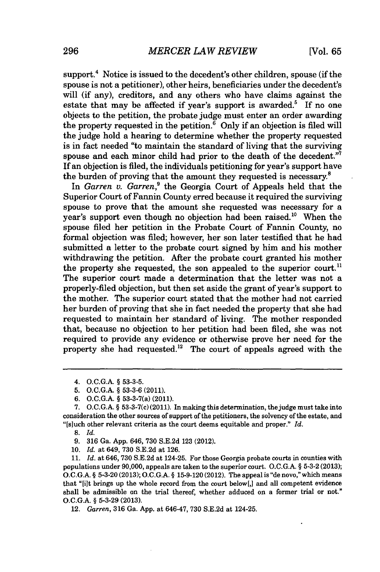support.<sup>4</sup> Notice is issued to the decedent's other children, spouse (if the spouse is not a petitioner), other heirs, beneficiaries under the decedent's will (if any), creditors, and any others who have claims against the estate that may be affected if year's support is awarded.<sup>5</sup> If no one objects to the petition, the probate judge must enter an order awarding the property requested in the petition. $\frac{6}{5}$  Only if an objection is filed will the judge hold a hearing to determine whether the property requested is in fact needed "to maintain the standard of living that the surviving spouse and each minor child had prior to the death of the decedent." If an objection is filed, the individuals petitioning for year's support have the burden of proving that the amount they requested is necessary. $8$ 

In *Garren v. Garren*,<sup>9</sup> the Georgia Court of Appeals held that the Superior Court of Fannin County erred because it required the surviving spouse to prove that the amount she requested was necessary for a year's support even though no objection had been raised.<sup>10</sup> When the spouse filed her petition in the Probate Court of Fannin County, no formal objection was filed; however, her son later testified that he had submitted a letter to the probate court signed **by** him and his mother withdrawing the petition. After the probate court granted his mother the property she requested, the son appealed to the superior court.<sup>11</sup> The superior court made a determination that the letter was not a properly-filed objection, but then set aside the grant of year's support to the mother. The superior court stated that the mother had not carried her burden of proving that she in fact needed the property that she had requested to maintain her standard of living. The mother responded that, because no objection to her petition had been filed, she was not required to provide any evidence or otherwise prove her need for the property she had requested." The court of appeals agreed with the

- **9. 316** Ga. **App.** 646, **730 S.E.2d 123** (2012).
- *10. Id.* at 649, **730 S.E.2d** at **126.**

*11. Id.* at 646, **730 S.E.2d** at 124-25. For those Georgia probate courts in counties with populations under **90,000,** appeals are taken to the superior court. **O.C.G.A. § 5-3-2 (2013); O.C.G.A. § 5-3-20 (2013); O.C.G.A. § 15-9-120** (2012). The appeal is "de novo," which means that "[ilt brings up the whole record from the court below[,] and all competent evidence shall be admissible on the trial thereof, whether adduced on a former trial or not." **O.C.G.A. § 5-3-29 (2013).**

12. *Garren,* 316 Ga. App. at 646-47, 730 S.E.2d at 124-25.

<sup>4.</sup> **O.C.G.A. § 53-3-5.**

**<sup>5.</sup> O.C.G.A. § 53-3-6** (2011).

**<sup>6.</sup> O.C.G.A. §** 53-3-7(a) (2011).

**<sup>7.</sup> O.C.G.A. §** 53-3-7(c) (2011). In making this determination, the judge must take into consideration the other sources of support of the petitioners, the solvency of the estate, and "[sluch other relevant criteria as the court deems equitable and proper." *Id.*

**<sup>8.</sup>** *Id.*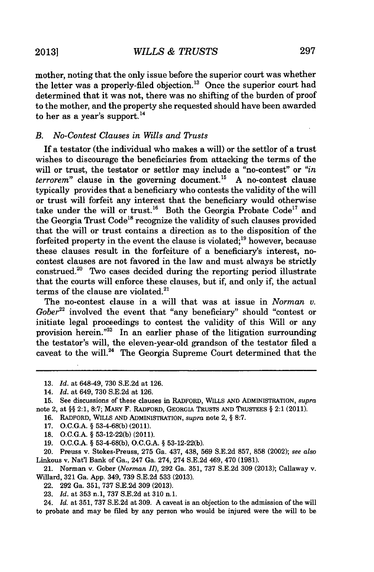mother, noting that the only issue before the superior court was whether the letter was a properly-filed objection.<sup>13</sup> Once the superior court had determined that it was not, there was no shifting of the burden of proof to the mother, and the property she requested should have been awarded to her as a year's support.<sup>14</sup>

## *B. No-Contest Clauses in Wills and Trusts*

If a testator (the individual who makes a will) or the settlor of a trust wishes to discourage the beneficiaries from attacking the terms of the will or trust, the testator or settlor may include a "no-contest" or *"in terrorem"* clause in the governing document." **A** no-contest clause typically provides that a beneficiary who contests the validity of the will or trust will forfeit any interest that the beneficiary would otherwise take under the will or trust.<sup>16</sup> Both the Georgia Probate Code<sup>17</sup> and the Georgia Trust Code<sup>18</sup> recognize the validity of such clauses provided that the will or trust contains a direction as to the disposition of the forfeited property in the event the clause is violated; $^{19}$  however, because these clauses result in the forfeiture of a beneficiary's interest, nocontest clauses are not favored in the law and must always be strictly construed.20 Two cases decided during the reporting period illustrate that the courts will enforce these clauses, but if, and only if, the actual terms of the clause are violated. $21$ 

The no-contest clause in a will that was at issue in *Norman v. Gober*<sup>22</sup> involved the event that "any beneficiary" should "contest or initiate legal proceedings to contest the validity of this Will or any provision herein."<sup>23</sup> In an earlier phase of the litigation surrounding the testator's will, the eleven-year-old grandson of the testator filed a caveat to the will.<sup>24</sup> The Georgia Supreme Court determined that the

- **16. RADFORD, WILLS AND ADMINISTRATION,** *supra* note 2, **§ 8:7.**
- **17. O.C.G.A. § 53-4-68(b) (2011).**
- **18. O.C.G.A. § 53-12-22(b)** (2011).
- **19. O.C.G.A. § 53-4-68(b), O.C.G.A. § 53-12-22(b).**

20. Preuss v. Stokes-Preuss, **275** Ga. 437, 438, **569 S.E.2d 857, 858** (2002); *see also* Linkous v. Nat'1 Bank of Ga., 247 Ga. 274, 274 **S.E.2d** 469, 470 **(1981).**

21. Norman v. Gober *(Norman II),* **292** Ga. **351, 737 S.E.2d 309 (2013);** Callaway v. Willard, **321** Ga. **App.** 349, **739 S.E.2d 533 (2013).**

- 22. **292** Ga. **351, 737 S.E.2d 309 (2013).**
- **23.** *Id.* at **353** n.1, **737 S.E.2d** at **310** n.1.

24. *Id.* at **351, 737 S.E.2d** at **309. A** caveat is an objection to the admission of the will to probate and may be filed **by** any person who would be injured were the will to be

**<sup>13.</sup>** *Id.* at 648-49, **730 S.E.2d** at **126.**

<sup>14.</sup> *Id.* at 649, **730 S.E.2d** at **126.**

**<sup>15.</sup>** See discussions of these clauses in **RADFORD, WILLS AND ADMINISTRATION,** *supra* note 2, at **§§** 2:1, **8:7;** IARY F. RADFORD, **GEORGIA TRUSTS AND TRUSTEES §** 2:1 (2011).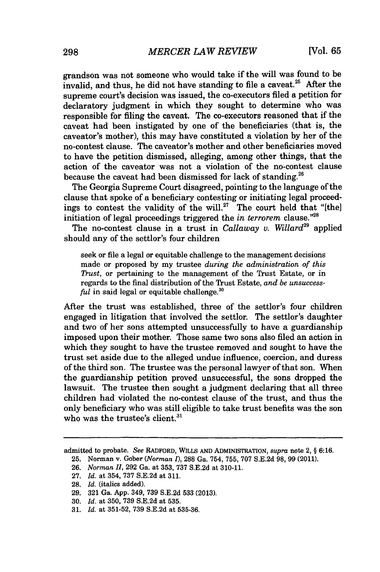grandson was not someone who would take if the will was found to be invalid, and thus, he did not have standing to file a caveat.<sup>25</sup> After the supreme court's decision was issued, the co-executors filed a petition for declaratory judgment in which they sought to determine who was responsible for filing the caveat. The co-executors reasoned that if the caveat had been instigated **by** one of the beneficiaries (that is, the caveator's mother), this may have constituted a violation **by** her of the no-contest clause. The caveator's mother and other beneficiaries moved to have the petition dismissed, alleging, among other things, that the action of the caveator was not a violation of the no-contest clause because the caveat had been dismissed for lack of standing.<sup>26</sup>

The Georgia Supreme Court disagreed, pointing to the language of the clause that spoke of a beneficiary contesting or initiating legal proceedings to contest the validity of the will.<sup>27</sup> The court held that "[the] initiation of legal proceedings triggered the *in terrorem* clause."<sup>28</sup>

The no-contest clause in a trust in *Callaway v. Willard"* applied should any of the settlor's four children

seek or file a legal or equitable challenge to the management decisions made or proposed **by** my trustee *during the administration of this Thust,* or pertaining to the management of the Trust Estate, or in regards to the final distribution of the Trust Estate, *and be unsuccessful* in said legal or equitable challenge.<sup>30</sup>

After the trust was established, three of the settlor's four children engaged in litigation that involved the settlor. The settlor's daughter and two of her sons attempted unsuccessfully to have a guardianship imposed upon their mother. Those same two sons also filed an action in which they sought to have the trustee removed and sought to have the trust set aside due to the alleged undue influence, coercion, and duress of the third son. The trustee was the personal lawyer of that son. When the guardianship petition proved unsuccessful, the sons dropped the lawsuit. The trustee then sought a judgment declaring that all three children had violated the no-contest clause of the trust, and thus the only beneficiary who was still eligible to take trust benefits was the son who was the trustee's client. $31$ 

**27.** *Id.* at 354, **737 S.E.2d** at **311.**

**29. 321** Ga. **App.** 349, **739 S.E.2d 533 (2013).**

**31.** *Id.* at **351-52, 739 S.E.2d** at **535-36.**

admitted to probate. *See* RADFORD, **WLLS AND** ADMINISTRATION, *supra* note 2, **§ 6:16.**

**<sup>25.</sup>** Norman v. Gober *(Norman 1),* **288** Ga. 754, **755, 707 S.E.2d 98, 99** (2011).

**<sup>26.</sup>** *Norman II,* **292** Ga. at **353, 737 S.E.2d** at **310-11.**

**<sup>28.</sup>** *Id.* (italics added).

**<sup>30.</sup>** *Id.* at **350, 739 S.E.2d** at **535.**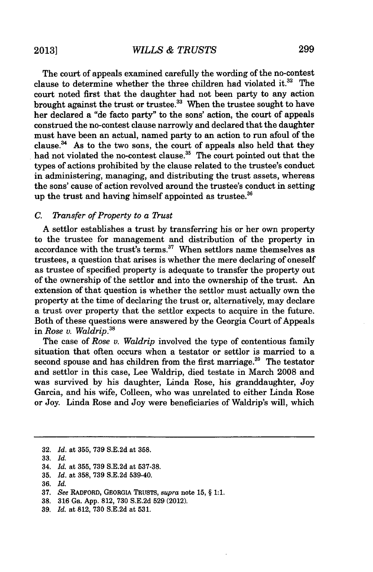The court of appeals examined carefully the wording of the no-contest clause to determine whether the three children had violated it. $32$  The court noted first that the daughter had not been party to any action brought against the trust or trustee.<sup>33</sup> When the trustee sought to have her declared a "de facto party" to the sons' action, the court of appeals construed the no-contest clause narrowly and declared that the daughter must have been an actual, named party to an action to run afoul of the clause. $^{34}$  As to the two sons, the court of appeals also held that they had not violated the no-contest clause.<sup>35</sup> The court pointed out that the types of actions prohibited **by** the clause related to the trustee's conduct in administering, managing, and distributing the trust assets, whereas the sons' cause of action revolved around the trustee's conduct in setting up the trust and having himself appointed as trustee.<sup>36</sup>

# *C. ransfer of Property to a Rust*

**A** settlor establishes a trust **by** transferring his or her own property to the trustee for management and distribution of the property in accordance with the trust's terms.<sup>37</sup> When settlors name themselves as trustees, a question that arises is whether the mere declaring of oneself as trustee of specified property is adequate to transfer the property out of the ownership of the settlor and into the ownership of the trust. An extension of that question is whether the settlor must actually own the property at the time of declaring the trust or, alternatively, may declare a trust over property that the settlor expects to acquire in the future. Both of these questions were answered **by** the Georgia Court of Appeals *in Rose v. Waldrip."*

The case of *Rose v. Waldrip* involved the type of contentious family situation that often occurs when a testator or settlor is married to a second spouse and has children from the first marriage.<sup>39</sup> The testator and settlor in this case, Lee Waldrip, died testate in March **2008** and was survived **by** his daughter, Linda Rose, his granddaughter, Joy Garcia, and his wife, Colleen, who was unrelated to either Linda Rose or Joy. Linda Rose and Joy were beneficiaries of Waldrip's will, which

**<sup>32.</sup>** *Id. at* **355, 739 S.E.2d** *at* **358.**

**<sup>33.</sup>** *Id.*

<sup>34.</sup> *Id. at* **355, 739 S.E.2d** *at* **537-38.**

**<sup>35.</sup>** *Id. at* **358, 739 S.E.2d** 539-40.

**<sup>36.</sup>** *Id.*

**<sup>37.</sup>** *See* RADFORD, GEORGIA TRUSTS, *supra* note **15, § 1:1.**

**<sup>38. 316</sup>** Ga. **App. 812, 730 S.E.2d 529** (2012).

**<sup>39.</sup>** *Id. at* **812, 730 S.E.2d** at **531.**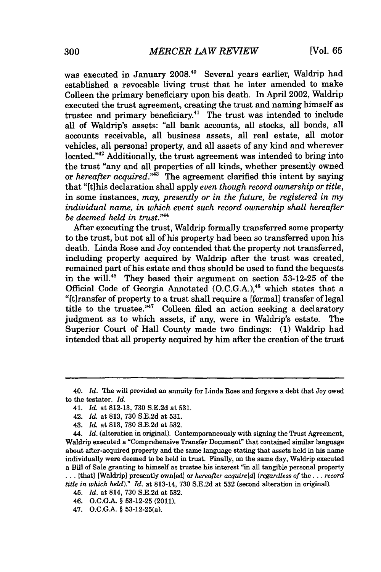was executed in January **2008.40** Several years earlier, Waldrip had established a revocable living trust that he later amended to make Colleen the primary beneficiary upon his death. In April 2002, Waldrip executed the trust agreement, creating the trust and naming himself as trustee and primary beneficiary.<sup>41</sup> The trust was intended to include all of Waldrip's assets: "all bank accounts, all stocks, all bonds, all accounts receivable, all business assets, all real estate, all motor vehicles, all personal property, and all assets of any kind and wherever located."<sup>42</sup> Additionally, the trust agreement was intended to bring into the trust "any and all properties of all kinds, whether presently owned *or hereafter acquired."'* The agreement clarified this intent **by** saying that "[tihis declaration shall apply *even though record ownership or title,* in some instances, *may, presently or in the future, be registered in my individual name, in which event such record ownership shall hereafter be deemed held in trust.""*

After executing the trust, Waldrip formally transferred some property to the trust, but not all of his property had been so transferred upon his death. Linda Rose and Joy contended that the property not transferred, including property acquired **by** Waldrip after the trust was created, remained part of his estate and thus should be used to fund the bequests in the will."5 They based their argument on section **53-12-25** of the Official Code of Georgia Annotated  $(0.C.G.A.)$ <sup>46</sup> which states that a "[ltransfer of property to a trust shall require a [formal] transfer of legal title to the trustee."<sup>47</sup> Colleen filed an action seeking a declaratory judgment as to which assets, if any, were in Waldrip's estate. The Superior Court of Hall County made two findings: **(1)** Waldrip had intended that all property acquired **by** him after the creation of the trust

**...** [that] [Waldrip] presently ownied] or *hereafter acquireId] (regardless of* the .. **.** *record title in which held)." Id.* at 813-14, **730 S.E.2d** at **532** (second alteration in original).

*46.* **O.C.G.A. § 53-12-25** (2011).

<sup>40.</sup> *Id.* The will provided an annuity for Linda Rose and forgave a debt that Joy owed to the testator. *Id.*

<sup>41.</sup> *Id.* at **812-13, 730 S.E.2d** at **531.**

<sup>42.</sup> *Id.* at **813, 730 S.E.2d** at **531.**

<sup>43.</sup> *Id.* at **813, 730 S.E.2d** at **532.**

*<sup>44.</sup> Id.* (alteration in original). Contemporaneously with signing the Trust Agreement, Waldrip executed a "Comprehensive Transfer Document" that contained similar language about after-acquired property and the same language stating that assets held in his name individually were deemed to be held in trust. Finally, on the same day, Waldrip executed a Bill of Sale granting to himself as trustee his interest "in all tangible personal property

<sup>45.</sup> *Id.* at 814, **730 S.E.2d** at **532.**

<sup>47.</sup> **O.C.G.A. §** 53- 12-25(a).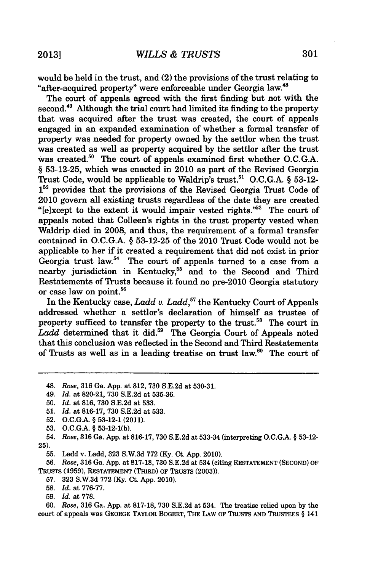would be held in the trust, and (2) the provisions of the trust relating to "after-acquired property" were enforceable under Georgia law.'

The court of appeals agreed with the first finding but not with the second.<sup>49</sup> Although the trial court had limited its finding to the property that was acquired after the trust was created, the court of appeals engaged in an expanded examination of whether a formal transfer of property was needed for property owned **by** the settlor when the trust was created as well as property acquired **by** the settlor after the trust was created.<sup>50</sup> The court of appeals examined first whether O.C.G.A. *§* **53-12-25,** which was enacted in 2010 as part of the Revised Georgia Trust Code, would be applicable to Waldrip's trust." **O.C.G.A.** *§* **53-12-**  $1^{52}$  provides that the provisions of the Revised Georgia Trust Code of 2010 govern all existing trusts regardless of the date they are created " $[e]$ xcept to the extent it would impair vested rights."<sup>53</sup> The court of appeals noted that Colleen's rights in the trust property vested when Waldrip died in **2008,** and thus, the requirement of a formal transfer contained in **O.C.G.A. § 53-12-25** of the 2010 Trust Code would not be applicable to her if it created a requirement that did not exist in prior Georgia trust law.<sup>54</sup> The court of appeals turned to a case from a nearby jurisdiction in Kentucky,<sup>55</sup> and to the Second and Third Restatements of Trusts because it found no pre-2010 Georgia statutory or case law on point.<sup>56</sup>

In the Kentucky case, *Ladd v. Ladd,"* the Kentucky Court of Appeals addressed whether a settlor's declaration of himself as trustee of property sufficed to transfer the property to the trust.<sup>58</sup> The court in Ladd determined that it did.<sup>59</sup> The Georgia Court of Appeals noted that this conclusion was reflected in the Second and Third Restatements of Trusts as well as in a leading treatise on trust law. $60$  The court of

*49. Id. at* **820-21, 730 S.E.2d** at **535-36.**

**53. O.C.G.A. § 53-12-1(b).**

54. *Rose,* **316** Ga. **App.** at **816-17, 730 S.E.2d** at **533-34** (interpreting **O.C.G.A. § 53-12- 25).**

**55.** Ladd v. Ladd, **323 S.W.3d 772 (Ky.** Ct. **App.** 2010).

**56.** *Rose,* **316** Ga. **App.** at **817-18, 730 S.E.2d** at 534 (citing **RESTATEMENT (SECOND)** OF TRUSTS (1959), RESTATEMENT (THIRD) OF TRUSTS (2003)).

- **57. 323 S.W.3d 772 (Ky.** Ct. **App.** 2010).
- **58.** *Id.* at **776-77.**
- **59.** *Id.* at **778.**

**60.** *Rose,* **316** Ga. **App.** at **817-18, 730 S.E.2d** at 534. The treatise relied upon **by** the court of appeals was GEORGE TAYLOR BOGERT, THE LAW OF TRUSTS **AND TRUSTEES §** 141

<sup>48.</sup> *Rose,* **316** Ga. **App.** at **812, 730 S.E.2d** at **530-31.**

**<sup>50.</sup>** *Id. at* **816, 730 S.E.2d** at **533.**

**<sup>51.</sup>** *Id. at* **816-17, 730 S.E.2d** at **533.**

**<sup>52.</sup> O.C.G.A. § 53-12-1** (2011).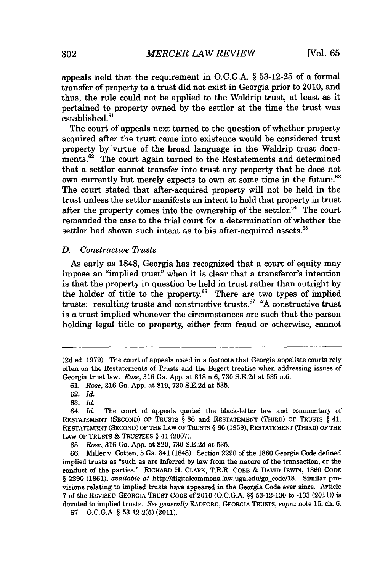appeals held that the requirement in **O.C.G.A.** *§* **53-12-25** of a formal transfer of property to a trust did not exist in Georgia prior to 2010, and thus, the rule could not be applied to the Waldrip trust, at least as it pertained to property owned **by** the settlor at the time the trust was established.<sup>61</sup>

The court of appeals next turned to the question of whether property acquired after the trust came into existence would be considered trust property **by** virtue of the broad language in the Waldrip trust documents. $62$  The court again turned to the Restatements and determined that a settlor cannot transfer into trust any property that he does not own currently but merely expects to own at some time in the future.<sup>63</sup> The court stated that after-acquired property will not be held in the trust unless the settlor manifests an intent to hold that property in trust after the property comes into the ownership of the settlor. $^{64}$  The court remanded the case to the trial court for a determination of whether the settlor had shown such intent as to his after-acquired assets.<sup>65</sup>

## *D. Constructive TRusts*

As early as **1848,** *Georgia* has recognized that a court of equity may impose an "implied trust" when it is clear that a transferor's intention is that the property in question be held in trust rather than outright **by** the holder of title to the property.<sup>66</sup> There are two types of implied trusts: resulting trusts and constructive trusts." **"A** constructive trust is a trust implied whenever the circumstances are such that the person holding legal title to property, either from fraud or otherwise, cannot

**66.** Miller v. Cotten, **5** Ga. 341 **(1848).** Section **2290** of the **1860** Georgia Code defined implied trusts as "such as are inferred **by** law from the nature of the transaction, or the conduct of the parties." RICHARD H. CLARK, T.R.R. COBB **& DAVID** IRWIN, **1860 CODE § 2290 (1861),** *available* at http://digitalcommons.law.uga.edu/ga code/18. Similar provisions relating to implied trusts have appeared in the Georgia Code ever since. Article **7** of the REVISED GEORGIA TRUST **CODE** of 2010 **(O.C.G.A.** *§§* **53-12-130** to **-133** (2011)) is devoted to implied trusts. *See generally* RADFORD, GEORGIA TRUSTS, *supra* note **15,** ch. **6.**

**<sup>(2</sup>d** ed. **1979).** The court of appeals noted in a footnote that Georgia appellate courts rely often on the Restatements of Trusts and the Bogert treatise when addressing issues of Georgia trust law. *Rose,* **316** Ga. **App.** at **818** n.6, **730 S.E.2d** at **535** n.6.

*<sup>61.</sup> Rose,* **316** Ga. **App.** at **819, 730 S.E.2d** at **535.**

**<sup>62.</sup>** *Id.*

**<sup>63.</sup>** *Id.*

The court of appeals quoted the black-letter law and commentary of **RESTATEMENT (SECOND)** OF TRUSTS *§* **86** and **RESTATEMENT** (THIRD) OF TRUSTS *§* 41. **RESTATEMENT (SECOND)** OF THE LAW OF **TRUSTS** *§* **86 (1959);** RESTATEMENT (THIRD) OF THE LAW OF TRUSTS **&** TRUSTEES *§* 41 **(2007).**

**<sup>65.</sup>** *Rose,* **316** Ga. **App.** at **820, 730 S.E.2d** at **535.**

**<sup>67.</sup> O.C.G.A.** *§* **53-12-2(5)** (2011).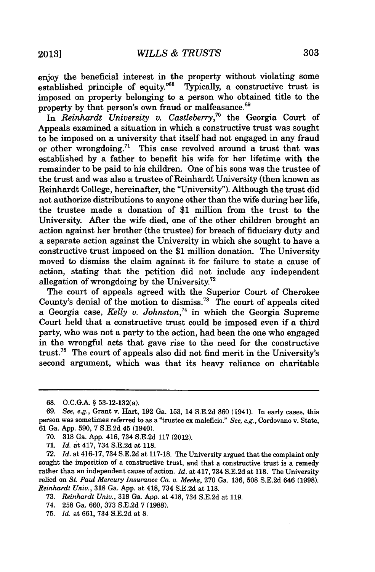enjoy the beneficial interest in the property without violating some established principle of equity."<sup>68</sup> Typically, a constructive trust is imposed on property belonging to a person who obtained title to the property by that person's own fraud or malfeasance.<sup>69</sup>

In *Reinhardt University v. Castleberry*,<sup>70</sup> the Georgia Court of Appeals examined a situation in which a constructive trust was sought to be imposed on a university that itself had not engaged in any fraud or other wrongdoing." This case revolved around a trust that was established **by** a father to benefit his wife for her lifetime with the remainder to be paid to his children. One of his sons was the trustee of the trust and was also a trustee of Reinhardt University (then known as Reinhardt College, hereinafter, the "University"). Although the trust did not authorize distributions to anyone other than the wife during her life, the trustee made a donation of **\$1** million from the trust to the University. After the wife died, one of the other children brought an action against her brother (the trustee) for breach of fiduciary duty and a separate action against the University in which she sought to have a constructive trust imposed on the **\$1** million donation. The University moved to dismiss the claim against it for failure to state a cause of action, stating that the petition did not include any independent allegation of wrongdoing **by** the University."

The court of appeals agreed with the Superior Court of Cherokee County's denial of the motion to dismiss.<sup>73</sup> The court of appeals cited a Georgia case, *Kelly v. Johnston*,<sup>74</sup> in which the Georgia Supreme Court held that a constructive trust could be imposed even if a third party, who was not a party to the action, had been the one who engaged in the wrongful acts that gave rise to the need for the constructive trust. The court of appeals also did not find merit in the University's second argument, which was that its heavy reliance on charitable

**71.** *Id.* at 417, 734 **S.E.2d** at **118.**

- **73.** *Reinhardt Univ.,* **318** Ga. **App.** at 418, 734 **S.E.2d** at **119.**
- 74. **258** Ga. **660,** 373 **S.E.2d 7 (1988).**
- **75.** *Id.* at **661,** 734 **S.E.2d** at **8.**

**<sup>68.</sup> O.C.G.A. §** 53-12-132(a).

*<sup>69.</sup> See, e.g.,* Grant v. Hart, **192** Ga. **153,** 14 **S.E.2d 860** (1941). In early cases, this person was sometimes referred to as a "trustee ex maleficio." *See, e.g.,* Cordovano v. State, **61** Ga. **App. 590, 7 S.E.2d** 45 (1940).

**<sup>70. 318</sup>** Ga. **App.** 416, 734 **S.E.2d 117** (2012).

**<sup>72.</sup>** *Id.* at 416-17, 734 **S.E.2d** at **117-18.** The University argued that the complaint only sought the imposition of a constructive trust, and that a constructive trust is a remedy rather than an independent cause of action. *Id.* at 417, 734 **S.E.2d** at **118.** The University relied on *St. Paul Mercury Insurance Co. v. Meeks,* **270** Ga. **136, 508 S.E.2d** 646 **(1998).** *Reinhardt Univ.,* **318** Ga. **App.** at 418, 734 **S.E.2d** at **118.**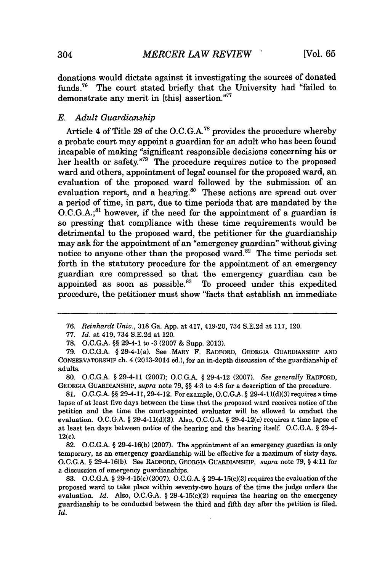donations would dictate against it investigating the sources of donated funds.<sup>76</sup> The court stated briefly that the University had "failed to demonstrate any merit in [this] assertion."77

### *E. Adult Guardianship*

Article 4 of Title **29** of the **O.C.G.A."** provides the procedure whereby a probate court may appoint a guardian *for* an adult who has been found incapable of making "significant responsible decisions concerning his or her health or safety."<sup>79</sup> The procedure requires notice to the proposed ward and others, appointment of legal counsel for the proposed ward, an evaluation of the proposed ward followed **by** the submission of an evaluation report, and a hearing. $80$  These actions are spread out over a period of time, in part, due to time periods that are mandated **by** the O.C.G.A.;<sup>81</sup> however, if the need for the appointment of a guardian is so pressing that compliance with these time requirements would be detrimental to the proposed ward, the petitioner for the guardianship may ask for the appointment of an "emergency guardian" without giving notice to anyone other than the proposed ward. $82$  The time periods set forth in the statutory procedure for the appointment of an emergency guardian are compressed so that the emergency guardian can be appointed as soon as possible. $83$  To proceed under this expedited procedure, the petitioner must show "facts that establish an immediate

**80. O.C.G.A.** *§* 29-4-11 **(2007); O.C.G.A.** *§* 29-4-12 **(2007).** *See generally* **RADFORD, GEORGIA GUARDIANSHIP,** *supra* note **79,** *§§* **4:3** to 4:8 for a description of the procedure.

**81. O.C.G.A.** *§§* 29-4-11, 29-4-12. For example, **O.C.G.A.** *§* **29-4-11(d)(3)** requires a time lapse of at least five days between the time that the proposed ward receives notice of the petition and the time the court-appointed evaluator will be allowed to conduct the evaluation. **O.C.G.A. § 29-4-11(d)(3).** Also, **O.C.G.A. §** 29-4-12(c) requires a time lapse of at least ten days between notice of the hearing and the hearing itself. **O.C.G.A.** *§* 29-4- 12(c).

**82. O.C.G.A.** *§* **29-4-16(b) (2007).** The appointment of an emergency guardian is only temporary, as an emergency guardianship will be effective for a maximum of sixty days. **O.C.G.A.** *§* **29-4-16(b).** See **RADFORD, GEORGIA GUARDIANSHIP,** *supra* note **79,** *§* 4:11 for a discussion of emergency guardianships.

**83. O.C.G.A.** *§* 29-4-15(c) **(2007). O.C.G.A.** *§* 29-4-15(c)(3) requires the evaluation of the proposed ward to take place within seventy-two hours of the time the judge orders the evaluation. *Id. Also,* **O.C.G.A.** *§* 29-4-15(c)(2) requires the hearing on the emergency guardianship to be conducted between the third and fifth day after the petition is filed. *Id.*

*<sup>76.</sup> Reinhardt Univ.,* **318** Ga. **App.** at 417, 419-20, 734 **S.E.2d** at **117,** 120.

**<sup>77.</sup>** *Id.* at 419, 734 **S.E.2d** at 120.

**<sup>78.</sup> O.C.G.A.** *§§* **29-4-1** to **-3 (2007 &** Supp. **2013).**

**<sup>79.</sup> O.C.G.A.** *§* 29-4-1(a). See MARY F. **RADFORD, GEORGIA GUARDIANSHIP AND CONSERVATORSHIP** ch. 4 (2013-2014 ed.), for an in-depth discussion of the guardianship of adults.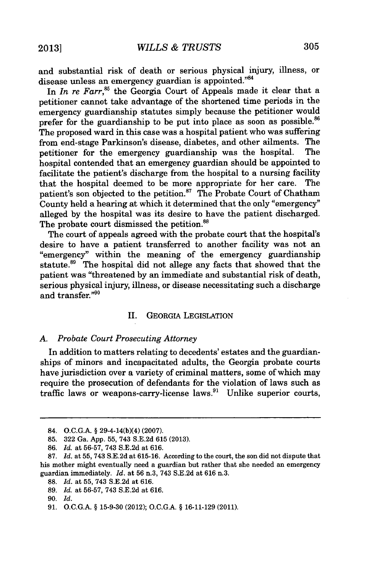and substantial risk of death or serious physical injury, illness, or disease unless an emergency guardian is appointed."84

In *In re Farr*,<sup>85</sup> the Georgia Court of Appeals made it clear that a petitioner cannot take advantage of the shortened time periods in the emergency guardianship statutes simply because the petitioner would prefer for the guardianship to be put into place as soon as possible.<sup>86</sup> The proposed ward in this case was a hospital patient who was suffering from end-stage Parkinson's disease, diabetes, and other ailments. The petitioner for the emergency guardianship was the hospital. The hospital contended that an emergency guardian should be appointed to facilitate the patient's discharge from the hospital to a nursing facility that the hospital deemed to be more appropriate for her care. The patient's son objected to the petition.<sup>87</sup> The Probate Court of Chatham County held a hearing at which it determined that the only "emergency" alleged **by** the hospital was its desire to have the patient discharged. The probate court dismissed the petition.<sup>88</sup>

The court of appeals agreed with the probate court that the hospital's desire to have a patient transferred to another facility was not an "emergency" within the meaning of the emergency guardianship statute.<sup>89</sup> The hospital did not allege any facts that showed that the patient was "threatened **by** an immediate and substantial risk of death, serious physical injury, illness, or disease necessitating such a discharge and transfer."90

## II. GEORGIA LEGISLATION

### *A. Probate Court Prosecuting Attorney*

In addition to matters relating to decedents' estates and the guardianships of minors and incapacitated adults, the Georgia probate courts have jurisdiction over a variety of criminal matters, some of which may require the prosecution of defendants for the violation of laws such as traffic laws or weapons-carry-license laws. $91$  Unlike superior courts,

<sup>84.</sup> **O.C.G.A. §** 29-4-14(b)(4) **(2007).**

**<sup>85. 322</sup>** Ga. **App. 55,** 743 **S.E.2d 615 (2013).**

**<sup>86.</sup>** *Id.* at **56-57,** 743 **S.E.2d** at **616.**

**<sup>87.</sup>** *Id.* at **55,** 743 **S.E.2d** at **615-16.** According to the court, the son did not dispute that his mother might eventually need a guardian but rather that she needed an emergency guardian immediately. *Id.* at **56** n.3, 743 **S.E.2d** at **616** n.3.

**<sup>88.</sup>** *Id.* at **55,** 743 **S.E.2d** at **616.**

**<sup>89.</sup>** *Id.* at **56-57,** 743 **S.E.2d** at **616.**

**<sup>90.</sup>** *Id.*

**<sup>91.</sup> O.C.G.A. § 15-9-30** (2012); **O.C.G.A. § 16-11-129** (2011).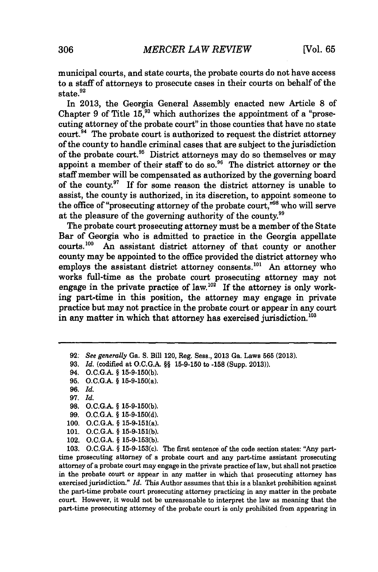municipal courts, and state courts, the probate courts do not have access to a staff of attorneys to prosecute cases in their courts on behalf of the state.<sup>92</sup>

In **2013,** the Georgia General Assembly enacted new Article **8** of Chapter  $9$  of Title  $15$ ,  $93$  which authorizes the appointment of a "prosecuting attorney of the probate court" in those counties that have no state  $\text{court.}^{94}$  The probate court is authorized to request the district attorney of the county to handle criminal cases that are subject to the jurisdiction of the probate court.<sup>95</sup> District attorneys may do so themselves or may appoint a member of their staff to do so.<sup>96</sup> The district attorney or the staff member will be compensated as authorized **by** the governing board of the county. $97$  If for some reason the district attorney is unable to assist, the county is authorized, in its discretion, to appoint someone to the office of "prosecuting attorney of the probate court,"<sup>98</sup> who will serve at the pleasure of the governing authority of the county.99

The probate court prosecuting attorney must be a member of the State Bar of Georgia who is admitted to practice in the Georgia appellate courts.<sup>100</sup> An assistant district attorney of that county or another An assistant district attorney of that county or another county may be appointed to the office provided the district attorney who employs the assistant district attorney consents.<sup>101</sup> An attorney who works full-time as the probate court prosecuting attorney may not engage in the private practice of law.<sup>102</sup> If the attorney is only working part-time in this position, the attorney may engage in private practice but may not practice in the probate court or appear in any court in any matter in which that attorney has exercised jurisdiction. $103$ 

**95. O.C.G.A. §** 15-9-150(a).

**96.** *Id.*

- **97.** *Id.*
- **98. O.C.G.A. § 15-9-150(b).**
- **99. O.C.G.A. § 15-9-150(d).**
- **100. O.C.G.A. §** 15-9-151(a).
- **101. O.C.G.A. § 15-9-151(b).**
- 102. **O.C.G.A. § 15-9-153(b).**

**103. O.C.G.A. §** 15-9-153(c). The first sentence of the code section states: "Any parttime prosecuting attorney of a probate court and any part-time assistant prosecuting attorney of a probate court may engage in the private practice of law, but shall not practice in the probate court or appear in any matter in which that prosecuting attorney has exercised jurisdiction." *Id.* This Author assumes that this is a blanket prohibition against the part-time probate court prosecuting attorney practicing in any matter in the probate court. However, it would not be unreasonable to interpret the law as meaning that the part-time prosecuting attorney of the probate court is only prohibited from appearing in

**<sup>92:</sup>** *See generally Ga.* **S.** Bill 120, Reg. Sess., **2013** Ga. Laws **565 (2013).**

**<sup>93.</sup>** *Id.* (codified at **O.C.G.A. §§ 15-9-150** to **-158** (Supp. **2013)).**

<sup>94.</sup> **O.C.G.A. § 15-9-150(b).**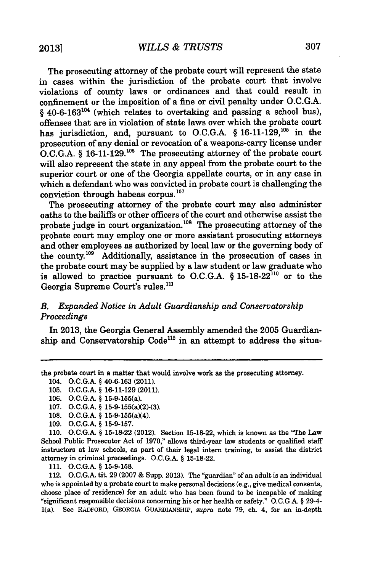The prosecuting attorney of the probate court will represent the state in cases within the jurisdiction of the probate court that involve violations of county laws or ordinances and that could result in confinement or the imposition of a fine or civil penalty under **O.C.G.A.** § 40-6-163<sup>104</sup> (which relates to overtaking and passing a school bus), offenses that are in violation of state laws over which the probate court has jurisdiction, and, pursuant to **O.C.G.A.** *§* **16-11-129,'0s** in the prosecution of any denial or revocation of a weapons-carry license under **O.C.G.A.** *§* **16-11-129.106** The prosecuting attorney of the probate court will also represent the state in any appeal from the probate court to the superior court or one of the Georgia appellate courts, or in any case in which a defendant who was convicted in probate court is challenging the conviction through habeas corpus.'

The prosecuting attorney of the probate court may also administer oaths to the bailiffs or other officers of the court and otherwise assist the probate judge in court organization. $108$  The prosecuting attorney of the probate court may employ one or more assistant prosecuting attorneys and other employees as authorized **by** local law or the governing body of the county.<sup>109</sup> Additionally, assistance in the prosecution of cases in the probate court may be supplied **by** a law student or law graduate who is allowed to practice pursuant to **O.C.G.A.** *§* **15-18-22110** or to the Georgia Supreme Court's rules.'

# *B. Expanded Notice in Adult Guardianship and Conservatorship Proceedings*

In **2013,** the Georgia General Assembly amended the **2005** Guardianship and Conservatorship Code<sup>112</sup> in an attempt to address the situa-

the probate court in a matter that would involve work as the prosecuting attorney.

**105. O.C.G.A. § 16-11-129** (2011).

**110. O.C.G.A. § 15-18-22** (2012). Section **15-18-22,** which is known as the "The Law School Public Prosecutor Act of **1970,"** allows third-year law students or qualified staff instructors at law schools, as part of their legal intern training, to assist the district attorney in criminal proceedings. **O.C.G.A. § 15-18-22.**

**111. O.C.G.A. § 15-9-158.**

112. **O.C.G.A.** tit. **29 (2007 &** Supp. **2013).** The "guardian" of an adult is an individual who is appointed **by** a probate court to make personal decisions (e.g., give medical consents, choose place of residence) for an adult who has been found to be incapable of making "significant responsible decisions concerning his or her health or safety." **O.C.G.A. §** 29-4- 1(a). See **RADFORD, GEORGIA GUARDIANSHIP,** *supra* note **79,** ch. **4,** for an in-depth

<sup>104.</sup> **O.C.G.A. § 40-6-163** (2011).

**<sup>106.</sup> O.C.G.A. §** 15-9-155(a).

**<sup>107.</sup> O.C.G.A. §** 15-9-155(a)(2)-(3).

**<sup>108.</sup> O.C.G.A. §** 15-9-155(a)(4).

**<sup>109.</sup> O.C.G.A. § 15-9-157.**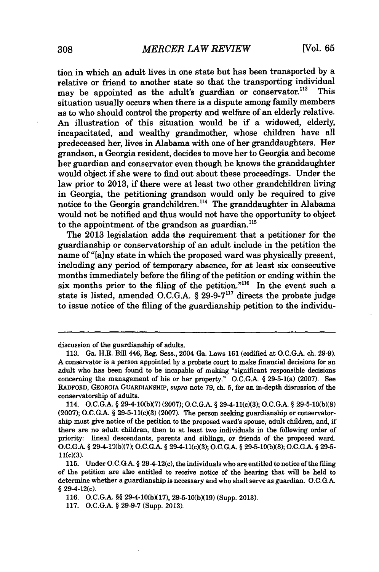tion in which an adult lives in one state but has been transported **by** a relative or friend to another state so that the transporting individual<br>may be annointed as the adult's guardian or conservator<sup>113</sup>. This may be appointed as the adult's guardian or conservator.<sup>113</sup> situation usually occurs when there is a dispute among family members as to who should control the property and welfare of an elderly relative. An illustration of this situation would be if a widowed, elderly, incapacitated, and wealthy grandmother, whose children have all predeceased her, lives in Alabama with one of her granddaughters. Her grandson, a Georgia resident, decides to move her to Georgia and become her guardian and conservator even though he knows the granddaughter would object if she were to find out about these proceedings. Under the law prior to **2013,** if there were at least two other grandchildren living in Georgia, the petitioning grandson would only be required to give notice to the Georgia grandchildren.<sup>114</sup> The granddaughter in Alabama would not be notified and thus would not have the opportunity to object to the appointment of the grandson as guardian.<sup>115</sup>

The **2013** legislation adds the requirement that a petitioner for the guardianship or conservatorship of an adult include in the petition the name of "[alny state in which the proposed ward was physically present, including any period of temporary absence, for at least six consecutive months immediately before the filing of the petition or ending within the six months prior to the filing of the petition."<sup>116</sup> In the event such a state is listed, amended **O.C.G.A. § 29-9-7"** directs the probate judge to issue notice of the filing of the guardianship petition to the individu-

discussion of the guardianship of adults.

**<sup>113.</sup>** Ga. H.R. Bill 446, Reg. Sess., 2004 Ga. Laws **161** (codified at **O.C.G.A.** ch. **29-9). A** conservator is a person appointed **by** a probate court to make financial decisions for an adult who has been found to be incapable of making "significant responsible decisions concerning the management of his or her property." **O.C.G.A. §** 29-5-1(a) **(2007).** See RADFORD, GEORGIA **GUARDIANSHIP,** *supra* note **79,** ch. **5,** for an in-depth discussion of the conservatorship of adults.

<sup>114.</sup> **O.C.G.A. § 29-4-10(b)(7) (2007); O.C.G.A. §** 29-4-11(c)(3); **O.C.GA. § 29-5-10(b)(8) (2007); O.C.G.A. §** 29-5-11(c)(3) **(2007).** The person seeking guardianship or conservatorship must give notice of the petition to the proposed ward's spouse, adult children, and, if there are no adult children, then to at least two individuals in the following order of priority: lineal descendants, parents and siblings, or friends of the proposed ward. **O.C.G.A. §** 29-4-19(bX7); **O.C.GA. §** 29-4-11(cX3); **O.C.G.A. § 29-5-10(b)(8); O.C.GA. § 29-5-** 11(c)(3).

**<sup>115.</sup>** Under **O.C.G.A. §** 29-4-12(c), the individuals who are entitled to notice of the filing of the petition are also entitled to receive notice of the hearing that will be held to determine whether a guardianship is necessary and who shall serve as guardian. **O.C.G.A. §** 29-4-12(c).

**<sup>116.</sup> O.C.G.A. §§ 29-4-10(b)(17), 29-5-10(b)(19) (Supp. 2013).**

**<sup>117.</sup> O.C.G.A. § 29-9-7** (Supp. **2013).**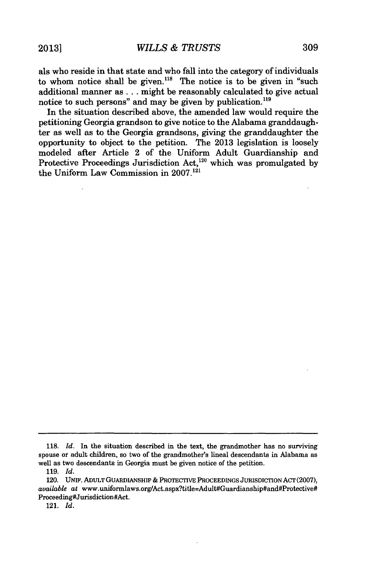als who reside in that state and who fall into the category of individuals to whom notice shall be given.<sup>118</sup> The notice is to be given in "such additional manner as **...** might be reasonably calculated to give actual notice to such persons" and may be given **by** publication.'

In the situation described above, the amended law would require the petitioning Georgia grandson to give notice to the Alabama granddaughter as well as to the Georgia grandsons, giving the granddaughter the opportunity to object to the petition. The **2013** legislation is loosely modeled after Article 2 of the Uniform Adult Guardianship and Protective Proceedings Jurisdiction Act,<sup>120</sup> which was promulgated by the Uniform Law Commission in **2007.121**

**121.** *Id.*

**<sup>118.</sup>** *Id.* In the situation described in the text, the grandmother has no surviving spouse or adult children, so two of the grandmother's lineal descendants in Alabama as well as two descendants in Georgia must be given notice of the petition.

**<sup>119.</sup>** *Id.*

<sup>120.</sup> UNIF. ADULT **GUARDIANSHIP** *&* PROTECTIVE **PROCEEDINGS** JURISDICTION **ACT (2007),** *available* at www.uniformlaws.org/Act.aspx?title=Adult#Guardianship#and#Protective# Proceeding#Jurisdiction#Act.